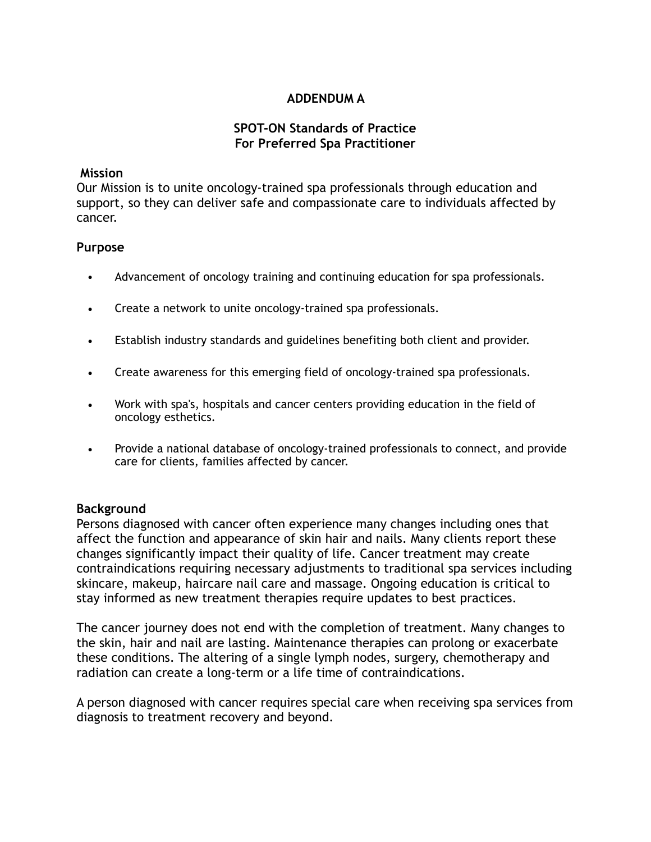### **ADDENDUM A**

### **SPOT-ON Standards of Practice For Preferred Spa Practitioner**

#### **Mission**

Our Mission is to unite oncology-trained spa professionals through education and support, so they can deliver safe and compassionate care to individuals affected by cancer.

#### **Purpose**

- Advancement of oncology training and continuing education for spa professionals.
- Create a network to unite oncology-trained spa professionals.
- Establish industry standards and guidelines benefiting both client and provider.
- Create awareness for this emerging field of oncology-trained spa professionals.
- Work with spa's, hospitals and cancer centers providing education in the field of oncology esthetics.
- Provide a national database of oncology-trained professionals to connect, and provide care for clients, families affected by cancer.

#### **Background**

Persons diagnosed with cancer often experience many changes including ones that affect the function and appearance of skin hair and nails. Many clients report these changes significantly impact their quality of life. Cancer treatment may create contraindications requiring necessary adjustments to traditional spa services including skincare, makeup, haircare nail care and massage. Ongoing education is critical to stay informed as new treatment therapies require updates to best practices.

The cancer journey does not end with the completion of treatment. Many changes to the skin, hair and nail are lasting. Maintenance therapies can prolong or exacerbate these conditions. The altering of a single lymph nodes, surgery, chemotherapy and radiation can create a long-term or a life time of contraindications.

A person diagnosed with cancer requires special care when receiving spa services from diagnosis to treatment recovery and beyond.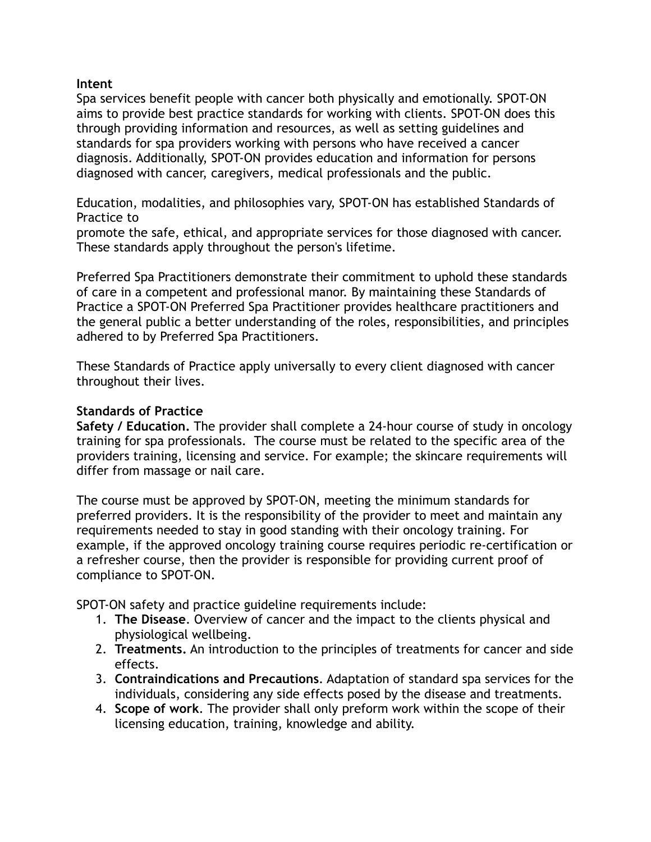### **Intent**

Spa services benefit people with cancer both physically and emotionally. SPOT-ON aims to provide best practice standards for working with clients. SPOT-ON does this through providing information and resources, as well as setting guidelines and standards for spa providers working with persons who have received a cancer diagnosis. Additionally, SPOT-ON provides education and information for persons diagnosed with cancer, caregivers, medical professionals and the public.

Education, modalities, and philosophies vary, SPOT-ON has established Standards of Practice to

promote the safe, ethical, and appropriate services for those diagnosed with cancer. These standards apply throughout the person's lifetime.

Preferred Spa Practitioners demonstrate their commitment to uphold these standards of care in a competent and professional manor. By maintaining these Standards of Practice a SPOT-ON Preferred Spa Practitioner provides healthcare practitioners and the general public a better understanding of the roles, responsibilities, and principles adhered to by Preferred Spa Practitioners.

These Standards of Practice apply universally to every client diagnosed with cancer throughout their lives.

### **Standards of Practice**

**Safety / Education.** The provider shall complete a 24-hour course of study in oncology training for spa professionals. The course must be related to the specific area of the providers training, licensing and service. For example; the skincare requirements will differ from massage or nail care.

The course must be approved by SPOT-ON, meeting the minimum standards for preferred providers. It is the responsibility of the provider to meet and maintain any requirements needed to stay in good standing with their oncology training. For example, if the approved oncology training course requires periodic re-certification or a refresher course, then the provider is responsible for providing current proof of compliance to SPOT-ON.

SPOT-ON safety and practice guideline requirements include:

- 1. **The Disease**. Overview of cancer and the impact to the clients physical and physiological wellbeing.
- 2. **Treatments.** An introduction to the principles of treatments for cancer and side effects.
- 3. **Contraindications and Precautions**. Adaptation of standard spa services for the individuals, considering any side effects posed by the disease and treatments.
- 4. **Scope of work**. The provider shall only preform work within the scope of their licensing education, training, knowledge and ability.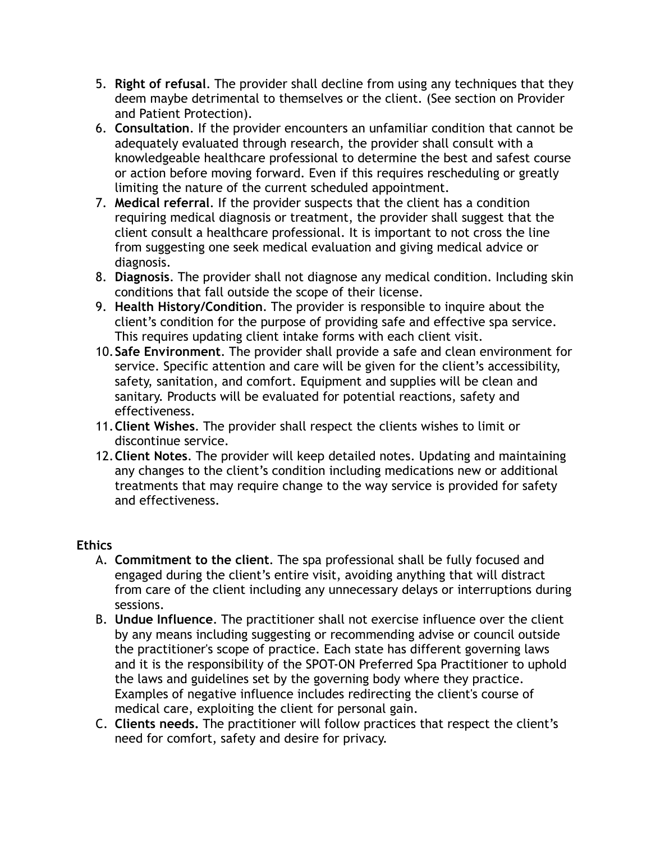- 5. **Right of refusal**. The provider shall decline from using any techniques that they deem maybe detrimental to themselves or the client. (See section on Provider and Patient Protection).
- 6. **Consultation**. If the provider encounters an unfamiliar condition that cannot be adequately evaluated through research, the provider shall consult with a knowledgeable healthcare professional to determine the best and safest course or action before moving forward. Even if this requires rescheduling or greatly limiting the nature of the current scheduled appointment.
- 7. **Medical referral**. If the provider suspects that the client has a condition requiring medical diagnosis or treatment, the provider shall suggest that the client consult a healthcare professional. It is important to not cross the line from suggesting one seek medical evaluation and giving medical advice or diagnosis.
- 8. **Diagnosis**. The provider shall not diagnose any medical condition. Including skin conditions that fall outside the scope of their license.
- 9. **Health History/Condition**. The provider is responsible to inquire about the client's condition for the purpose of providing safe and effective spa service. This requires updating client intake forms with each client visit.
- 10.**Safe Environment**. The provider shall provide a safe and clean environment for service. Specific attention and care will be given for the client's accessibility, safety, sanitation, and comfort. Equipment and supplies will be clean and sanitary. Products will be evaluated for potential reactions, safety and effectiveness.
- 11.**Client Wishes**. The provider shall respect the clients wishes to limit or discontinue service.
- 12.**Client Notes**. The provider will keep detailed notes. Updating and maintaining any changes to the client's condition including medications new or additional treatments that may require change to the way service is provided for safety and effectiveness.

## **Ethics**

- A. **Commitment to the client**. The spa professional shall be fully focused and engaged during the client's entire visit, avoiding anything that will distract from care of the client including any unnecessary delays or interruptions during sessions.
- B. **Undue Influence**. The practitioner shall not exercise influence over the client by any means including suggesting or recommending advise or council outside the practitioner's scope of practice. Each state has different governing laws and it is the responsibility of the SPOT-ON Preferred Spa Practitioner to uphold the laws and guidelines set by the governing body where they practice. Examples of negative influence includes redirecting the client's course of medical care, exploiting the client for personal gain.
- C. **Clients needs.** The practitioner will follow practices that respect the client's need for comfort, safety and desire for privacy.